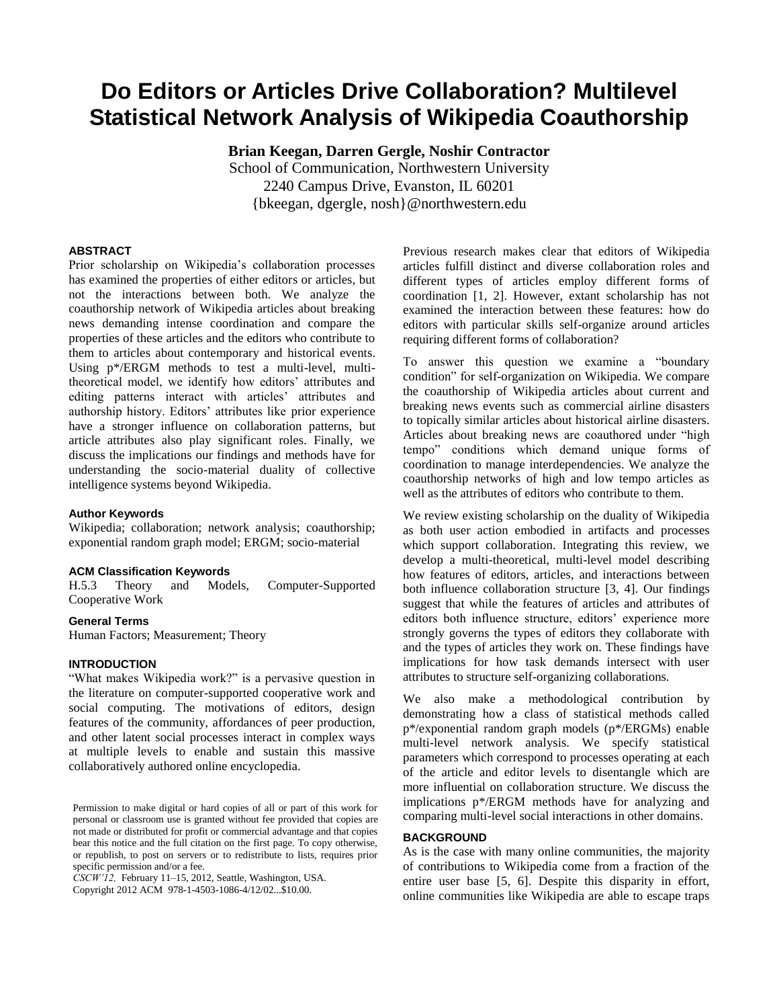# **Do Editors or Articles Drive Collaboration? Multilevel Statistical Network Analysis of Wikipedia Coauthorship**

**Brian Keegan, Darren Gergle, Noshir Contractor** School of Communication, Northwestern University 2240 Campus Drive, Evanston, IL 60201 {bkeegan, dgergle, nosh}@northwestern.edu

#### **ABSTRACT**

Prior scholarship on Wikipedia's collaboration processes has examined the properties of either editors or articles, but not the interactions between both. We analyze the coauthorship network of Wikipedia articles about breaking news demanding intense coordination and compare the properties of these articles and the editors who contribute to them to articles about contemporary and historical events. Using p\*/ERGM methods to test a multi-level, multitheoretical model, we identify how editors' attributes and editing patterns interact with articles' attributes and authorship history. Editors' attributes like prior experience have a stronger influence on collaboration patterns, but article attributes also play significant roles. Finally, we discuss the implications our findings and methods have for understanding the socio-material duality of collective intelligence systems beyond Wikipedia.

#### **Author Keywords**

Wikipedia; collaboration; network analysis; coauthorship; exponential random graph model; ERGM; socio-material

#### **ACM Classification Keywords**

H.5.3 Theory and Models, Computer-Supported Cooperative Work

#### **General Terms**

Human Factors; Measurement; Theory

## **INTRODUCTION**

"What makes Wikipedia work?" is a pervasive question in the literature on computer-supported cooperative work and social computing. The motivations of editors, design features of the community, affordances of peer production, and other latent social processes interact in complex ways at multiple levels to enable and sustain this massive collaboratively authored online encyclopedia.

Copyright 2012 ACM 978-1-4503-1086-4/12/02...\$10.00.

Previous research makes clear that editors of Wikipedia articles fulfill distinct and diverse collaboration roles and different types of articles employ different forms of coordination [1, 2]. However, extant scholarship has not examined the interaction between these features: how do editors with particular skills self-organize around articles requiring different forms of collaboration?

To answer this question we examine a "boundary condition" for self-organization on Wikipedia. We compare the coauthorship of Wikipedia articles about current and breaking news events such as commercial airline disasters to topically similar articles about historical airline disasters. Articles about breaking news are coauthored under "high tempo" conditions which demand unique forms of coordination to manage interdependencies. We analyze the coauthorship networks of high and low tempo articles as well as the attributes of editors who contribute to them.

We review existing scholarship on the duality of Wikipedia as both user action embodied in artifacts and processes which support collaboration. Integrating this review, we develop a multi-theoretical, multi-level model describing how features of editors, articles, and interactions between both influence collaboration structure [3, 4]. Our findings suggest that while the features of articles and attributes of editors both influence structure, editors' experience more strongly governs the types of editors they collaborate with and the types of articles they work on. These findings have implications for how task demands intersect with user attributes to structure self-organizing collaborations.

We also make a methodological contribution by demonstrating how a class of statistical methods called p\*/exponential random graph models (p\*/ERGMs) enable multi-level network analysis. We specify statistical parameters which correspond to processes operating at each of the article and editor levels to disentangle which are more influential on collaboration structure. We discuss the implications p\*/ERGM methods have for analyzing and comparing multi-level social interactions in other domains.

#### **BACKGROUND**

As is the case with many online communities, the majority of contributions to Wikipedia come from a fraction of the entire user base [5, 6]. Despite this disparity in effort, online communities like Wikipedia are able to escape traps

Permission to make digital or hard copies of all or part of this work for personal or classroom use is granted without fee provided that copies are not made or distributed for profit or commercial advantage and that copies bear this notice and the full citation on the first page. To copy otherwise, or republish, to post on servers or to redistribute to lists, requires prior specific permission and/or a fee.

*CSCW'12,* February 11–15, 2012, Seattle, Washington, USA.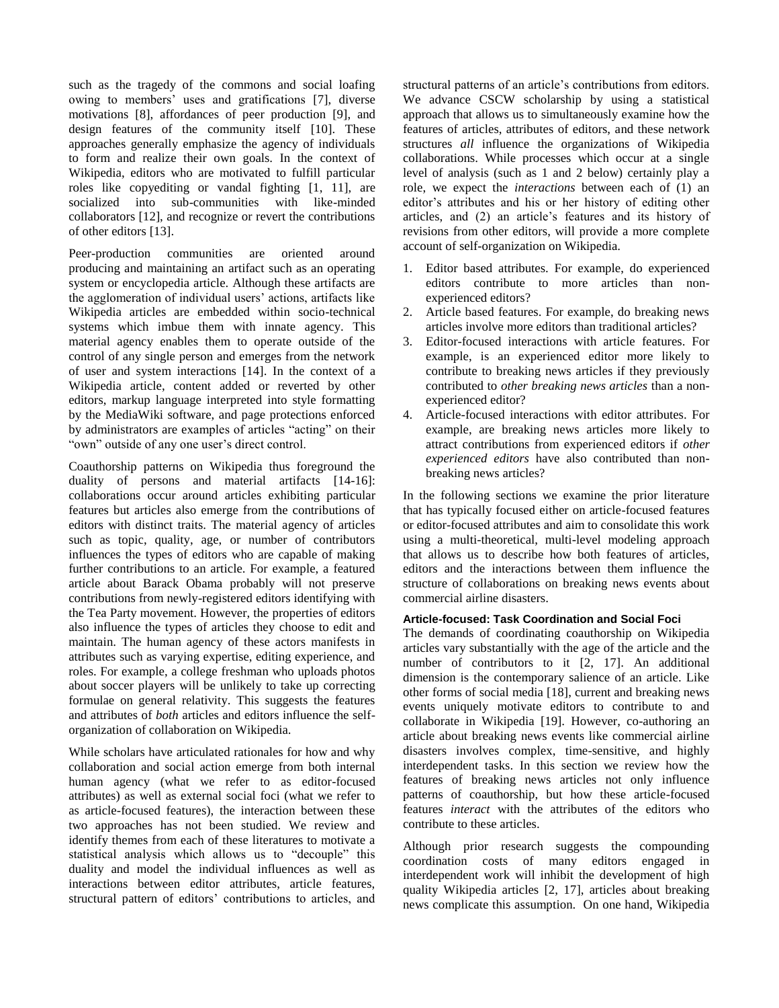such as the tragedy of the commons and social loafing owing to members' uses and gratifications [7], diverse motivations [8], affordances of peer production [9], and design features of the community itself [10]. These approaches generally emphasize the agency of individuals to form and realize their own goals. In the context of Wikipedia, editors who are motivated to fulfill particular roles like copyediting or vandal fighting [1, 11], are socialized into sub-communities with like-minded collaborators [12], and recognize or revert the contributions of other editors [13].

Peer-production communities are oriented around producing and maintaining an artifact such as an operating system or encyclopedia article. Although these artifacts are the agglomeration of individual users' actions, artifacts like Wikipedia articles are embedded within socio-technical systems which imbue them with innate agency. This material agency enables them to operate outside of the control of any single person and emerges from the network of user and system interactions [14]. In the context of a Wikipedia article, content added or reverted by other editors, markup language interpreted into style formatting by the MediaWiki software, and page protections enforced by administrators are examples of articles "acting" on their "own" outside of any one user's direct control.

Coauthorship patterns on Wikipedia thus foreground the duality of persons and material artifacts [14-16]: collaborations occur around articles exhibiting particular features but articles also emerge from the contributions of editors with distinct traits. The material agency of articles such as topic, quality, age, or number of contributors influences the types of editors who are capable of making further contributions to an article. For example, a featured article about Barack Obama probably will not preserve contributions from newly-registered editors identifying with the Tea Party movement. However, the properties of editors also influence the types of articles they choose to edit and maintain. The human agency of these actors manifests in attributes such as varying expertise, editing experience, and roles. For example, a college freshman who uploads photos about soccer players will be unlikely to take up correcting formulae on general relativity. This suggests the features and attributes of *both* articles and editors influence the selforganization of collaboration on Wikipedia.

While scholars have articulated rationales for how and why collaboration and social action emerge from both internal human agency (what we refer to as editor-focused attributes) as well as external social foci (what we refer to as article-focused features), the interaction between these two approaches has not been studied. We review and identify themes from each of these literatures to motivate a statistical analysis which allows us to "decouple" this duality and model the individual influences as well as interactions between editor attributes, article features, structural pattern of editors' contributions to articles, and

structural patterns of an article's contributions from editors. We advance CSCW scholarship by using a statistical approach that allows us to simultaneously examine how the features of articles, attributes of editors, and these network structures *all* influence the organizations of Wikipedia collaborations. While processes which occur at a single level of analysis (such as 1 and 2 below) certainly play a role, we expect the *interactions* between each of (1) an editor's attributes and his or her history of editing other articles, and (2) an article's features and its history of revisions from other editors, will provide a more complete account of self-organization on Wikipedia.

- 1. Editor based attributes. For example, do experienced editors contribute to more articles than nonexperienced editors?
- 2. Article based features. For example, do breaking news articles involve more editors than traditional articles?
- 3. Editor-focused interactions with article features. For example, is an experienced editor more likely to contribute to breaking news articles if they previously contributed to *other breaking news articles* than a nonexperienced editor?
- 4. Article-focused interactions with editor attributes. For example, are breaking news articles more likely to attract contributions from experienced editors if *other experienced editors* have also contributed than nonbreaking news articles?

In the following sections we examine the prior literature that has typically focused either on article-focused features or editor-focused attributes and aim to consolidate this work using a multi-theoretical, multi-level modeling approach that allows us to describe how both features of articles, editors and the interactions between them influence the structure of collaborations on breaking news events about commercial airline disasters.

## **Article-focused: Task Coordination and Social Foci**

The demands of coordinating coauthorship on Wikipedia articles vary substantially with the age of the article and the number of contributors to it [2, 17]. An additional dimension is the contemporary salience of an article. Like other forms of social media [18], current and breaking news events uniquely motivate editors to contribute to and collaborate in Wikipedia [19]. However, co-authoring an article about breaking news events like commercial airline disasters involves complex, time-sensitive, and highly interdependent tasks. In this section we review how the features of breaking news articles not only influence patterns of coauthorship, but how these article-focused features *interact* with the attributes of the editors who contribute to these articles.

Although prior research suggests the compounding coordination costs of many editors engaged in interdependent work will inhibit the development of high quality Wikipedia articles [2, 17], articles about breaking news complicate this assumption. On one hand, Wikipedia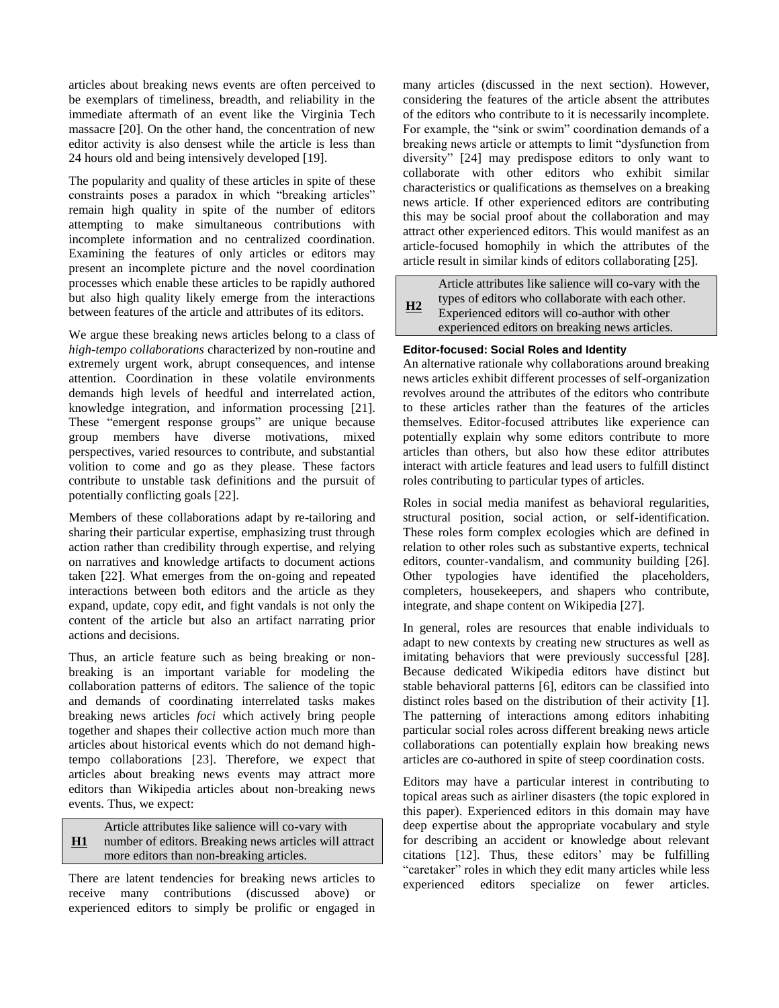articles about breaking news events are often perceived to be exemplars of timeliness, breadth, and reliability in the immediate aftermath of an event like the Virginia Tech massacre [20]. On the other hand, the concentration of new editor activity is also densest while the article is less than 24 hours old and being intensively developed [19].

The popularity and quality of these articles in spite of these constraints poses a paradox in which "breaking articles" remain high quality in spite of the number of editors attempting to make simultaneous contributions with incomplete information and no centralized coordination. Examining the features of only articles or editors may present an incomplete picture and the novel coordination processes which enable these articles to be rapidly authored but also high quality likely emerge from the interactions between features of the article and attributes of its editors.

We argue these breaking news articles belong to a class of *high-tempo collaborations* characterized by non-routine and extremely urgent work, abrupt consequences, and intense attention. Coordination in these volatile environments demands high levels of heedful and interrelated action, knowledge integration, and information processing [21]. These "emergent response groups" are unique because group members have diverse motivations, mixed perspectives, varied resources to contribute, and substantial volition to come and go as they please. These factors contribute to unstable task definitions and the pursuit of potentially conflicting goals [22].

Members of these collaborations adapt by re-tailoring and sharing their particular expertise, emphasizing trust through action rather than credibility through expertise, and relying on narratives and knowledge artifacts to document actions taken [22]. What emerges from the on-going and repeated interactions between both editors and the article as they expand, update, copy edit, and fight vandals is not only the content of the article but also an artifact narrating prior actions and decisions.

Thus, an article feature such as being breaking or nonbreaking is an important variable for modeling the collaboration patterns of editors. The salience of the topic and demands of coordinating interrelated tasks makes breaking news articles *foci* which actively bring people together and shapes their collective action much more than articles about historical events which do not demand hightempo collaborations [23]. Therefore, we expect that articles about breaking news events may attract more editors than Wikipedia articles about non-breaking news events. Thus, we expect:

**H1** Article attributes like salience will co-vary with number of editors. Breaking news articles will attract more editors than non-breaking articles.

There are latent tendencies for breaking news articles to receive many contributions (discussed above) or experienced editors to simply be prolific or engaged in many articles (discussed in the next section). However, considering the features of the article absent the attributes of the editors who contribute to it is necessarily incomplete. For example, the "sink or swim" coordination demands of a breaking news article or attempts to limit "dysfunction from diversity" [24] may predispose editors to only want to collaborate with other editors who exhibit similar characteristics or qualifications as themselves on a breaking news article. If other experienced editors are contributing this may be social proof about the collaboration and may attract other experienced editors. This would manifest as an article-focused homophily in which the attributes of the article result in similar kinds of editors collaborating [25].

**H2** Article attributes like salience will co-vary with the types of editors who collaborate with each other. Experienced editors will co-author with other experienced editors on breaking news articles.

#### **Editor-focused: Social Roles and Identity**

An alternative rationale why collaborations around breaking news articles exhibit different processes of self-organization revolves around the attributes of the editors who contribute to these articles rather than the features of the articles themselves. Editor-focused attributes like experience can potentially explain why some editors contribute to more articles than others, but also how these editor attributes interact with article features and lead users to fulfill distinct roles contributing to particular types of articles.

Roles in social media manifest as behavioral regularities, structural position, social action, or self-identification. These roles form complex ecologies which are defined in relation to other roles such as substantive experts, technical editors, counter-vandalism, and community building [26]. Other typologies have identified the placeholders, completers, housekeepers, and shapers who contribute, integrate, and shape content on Wikipedia [27].

In general, roles are resources that enable individuals to adapt to new contexts by creating new structures as well as imitating behaviors that were previously successful [28]. Because dedicated Wikipedia editors have distinct but stable behavioral patterns [6], editors can be classified into distinct roles based on the distribution of their activity [1]. The patterning of interactions among editors inhabiting particular social roles across different breaking news article collaborations can potentially explain how breaking news articles are co-authored in spite of steep coordination costs.

Editors may have a particular interest in contributing to topical areas such as airliner disasters (the topic explored in this paper). Experienced editors in this domain may have deep expertise about the appropriate vocabulary and style for describing an accident or knowledge about relevant citations [12]. Thus, these editors' may be fulfilling "caretaker" roles in which they edit many articles while less experienced editors specialize on fewer articles.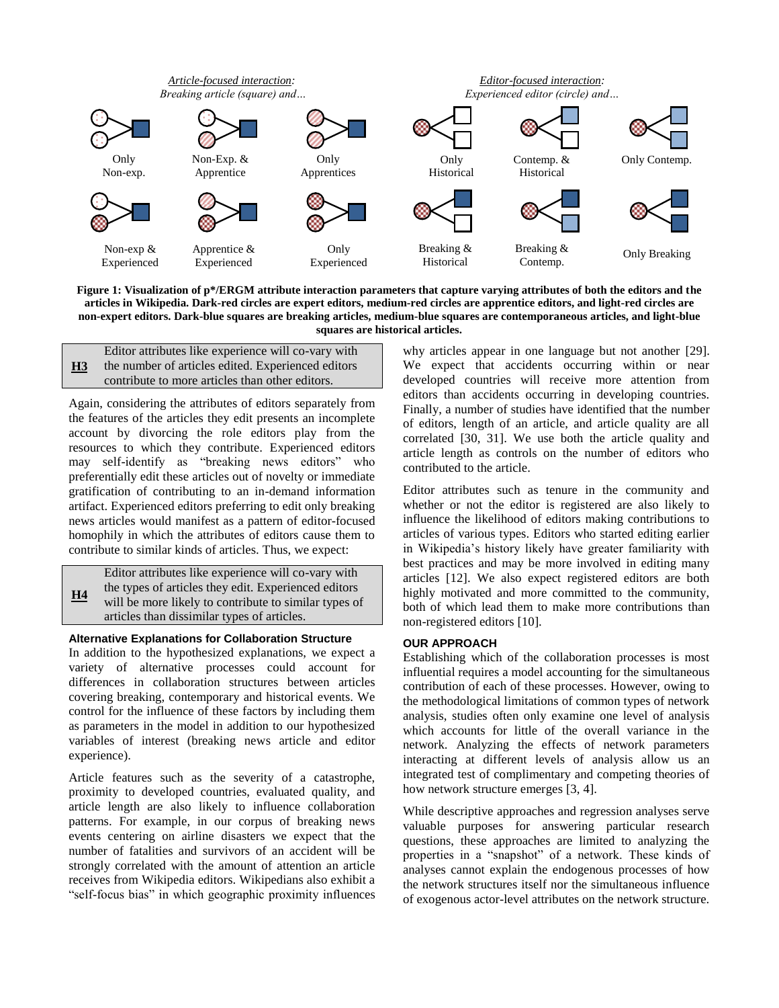

**Figure 1: Visualization of p\*/ERGM attribute interaction parameters that capture varying attributes of both the editors and the articles in Wikipedia. Dark-red circles are expert editors, medium-red circles are apprentice editors, and light-red circles are non-expert editors. Dark-blue squares are breaking articles, medium-blue squares are contemporaneous articles, and light-blue squares are historical articles.**

|    | Editor attributes like experience will co-vary with |
|----|-----------------------------------------------------|
| H3 | the number of articles edited. Experienced editors  |
|    | contribute to more articles than other editors.     |

Again, considering the attributes of editors separately from the features of the articles they edit presents an incomplete account by divorcing the role editors play from the resources to which they contribute. Experienced editors may self-identify as "breaking news editors" who preferentially edit these articles out of novelty or immediate gratification of contributing to an in-demand information artifact. Experienced editors preferring to edit only breaking news articles would manifest as a pattern of editor-focused homophily in which the attributes of editors cause them to contribute to similar kinds of articles. Thus, we expect:

**H4** Editor attributes like experience will co-vary with the types of articles they edit. Experienced editors will be more likely to contribute to similar types of articles than dissimilar types of articles.

#### **Alternative Explanations for Collaboration Structure**

In addition to the hypothesized explanations, we expect a variety of alternative processes could account for differences in collaboration structures between articles covering breaking, contemporary and historical events. We control for the influence of these factors by including them as parameters in the model in addition to our hypothesized variables of interest (breaking news article and editor experience).

Article features such as the severity of a catastrophe, proximity to developed countries, evaluated quality, and article length are also likely to influence collaboration patterns. For example, in our corpus of breaking news events centering on airline disasters we expect that the number of fatalities and survivors of an accident will be strongly correlated with the amount of attention an article receives from Wikipedia editors. Wikipedians also exhibit a "self-focus bias" in which geographic proximity influences

why articles appear in one language but not another [29]. We expect that accidents occurring within or near developed countries will receive more attention from editors than accidents occurring in developing countries. Finally, a number of studies have identified that the number of editors, length of an article, and article quality are all correlated [30, 31]. We use both the article quality and article length as controls on the number of editors who contributed to the article.

Editor attributes such as tenure in the community and whether or not the editor is registered are also likely to influence the likelihood of editors making contributions to articles of various types. Editors who started editing earlier in Wikipedia's history likely have greater familiarity with best practices and may be more involved in editing many articles [12]. We also expect registered editors are both highly motivated and more committed to the community, both of which lead them to make more contributions than non-registered editors [10].

## **OUR APPROACH**

Establishing which of the collaboration processes is most influential requires a model accounting for the simultaneous contribution of each of these processes. However, owing to the methodological limitations of common types of network analysis, studies often only examine one level of analysis which accounts for little of the overall variance in the network. Analyzing the effects of network parameters interacting at different levels of analysis allow us an integrated test of complimentary and competing theories of how network structure emerges [3, 4].

While descriptive approaches and regression analyses serve valuable purposes for answering particular research questions, these approaches are limited to analyzing the properties in a "snapshot" of a network. These kinds of analyses cannot explain the endogenous processes of how the network structures itself nor the simultaneous influence of exogenous actor-level attributes on the network structure.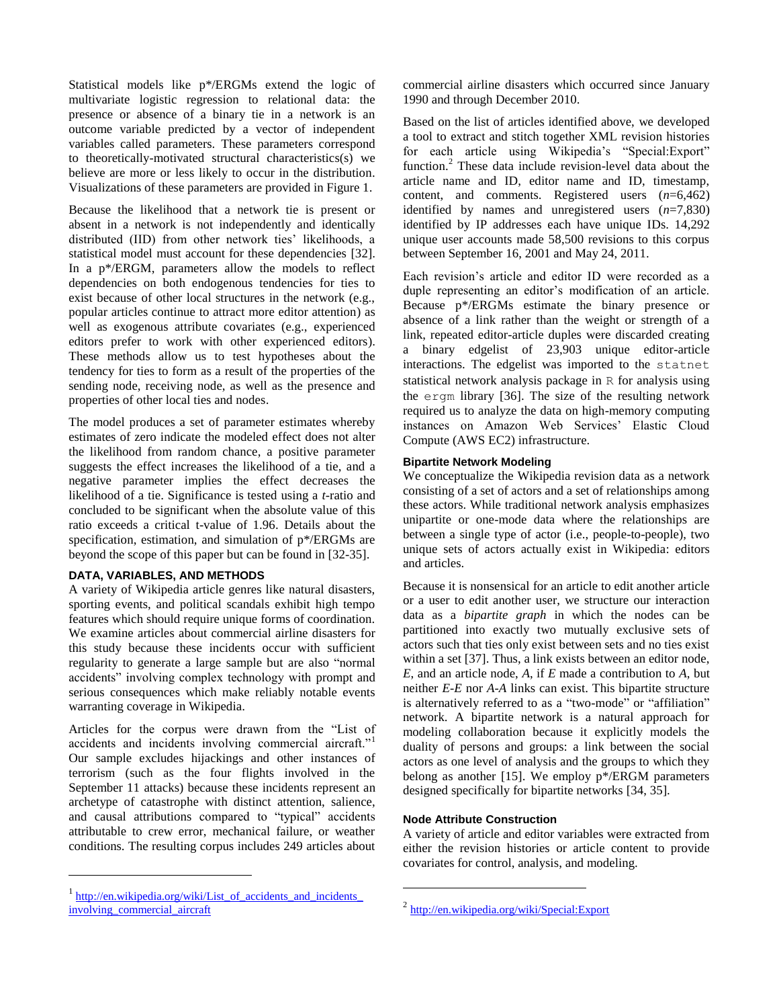Statistical models like p\*/ERGMs extend the logic of multivariate logistic regression to relational data: the presence or absence of a binary tie in a network is an outcome variable predicted by a vector of independent variables called parameters. These parameters correspond to theoretically-motivated structural characteristics(s) we believe are more or less likely to occur in the distribution. Visualizations of these parameters are provided in Figure 1.

Because the likelihood that a network tie is present or absent in a network is not independently and identically distributed (IID) from other network ties' likelihoods, a statistical model must account for these dependencies [32]. In a p\*/ERGM, parameters allow the models to reflect dependencies on both endogenous tendencies for ties to exist because of other local structures in the network (e.g., popular articles continue to attract more editor attention) as well as exogenous attribute covariates (e.g., experienced editors prefer to work with other experienced editors). These methods allow us to test hypotheses about the tendency for ties to form as a result of the properties of the sending node, receiving node, as well as the presence and properties of other local ties and nodes.

The model produces a set of parameter estimates whereby estimates of zero indicate the modeled effect does not alter the likelihood from random chance, a positive parameter suggests the effect increases the likelihood of a tie, and a negative parameter implies the effect decreases the likelihood of a tie. Significance is tested using a *t-*ratio and concluded to be significant when the absolute value of this ratio exceeds a critical t-value of 1.96. Details about the specification, estimation, and simulation of p\*/ERGMs are beyond the scope of this paper but can be found in [32-35].

#### **DATA, VARIABLES, AND METHODS**

A variety of Wikipedia article genres like natural disasters, sporting events, and political scandals exhibit high tempo features which should require unique forms of coordination. We examine articles about commercial airline disasters for this study because these incidents occur with sufficient regularity to generate a large sample but are also "normal accidents" involving complex technology with prompt and serious consequences which make reliably notable events warranting coverage in Wikipedia.

Articles for the corpus were drawn from the "List of accidents and incidents involving commercial aircraft."<sup>1</sup> Our sample excludes hijackings and other instances of terrorism (such as the four flights involved in the September 11 attacks) because these incidents represent an archetype of catastrophe with distinct attention, salience, and causal attributions compared to "typical" accidents attributable to crew error, mechanical failure, or weather conditions. The resulting corpus includes 249 articles about

 $\overline{\phantom{a}}$ 

commercial airline disasters which occurred since January 1990 and through December 2010.

Based on the list of articles identified above, we developed a tool to extract and stitch together XML revision histories for each article using Wikipedia's "Special:Export" function.<sup>2</sup> These data include revision-level data about the article name and ID, editor name and ID, timestamp, content, and comments. Registered users (*n*=6,462) identified by names and unregistered users (*n*=7,830) identified by IP addresses each have unique IDs. 14,292 unique user accounts made 58,500 revisions to this corpus between September 16, 2001 and May 24, 2011.

Each revision's article and editor ID were recorded as a duple representing an editor's modification of an article. Because p\*/ERGMs estimate the binary presence or absence of a link rather than the weight or strength of a link, repeated editor-article duples were discarded creating a binary edgelist of 23,903 unique editor-article interactions. The edgelist was imported to the statnet statistical network analysis package in R for analysis using the ergm library [36]. The size of the resulting network required us to analyze the data on high-memory computing instances on Amazon Web Services' Elastic Cloud Compute (AWS EC2) infrastructure.

## **Bipartite Network Modeling**

We conceptualize the Wikipedia revision data as a network consisting of a set of actors and a set of relationships among these actors. While traditional network analysis emphasizes unipartite or one-mode data where the relationships are between a single type of actor (i.e., people-to-people), two unique sets of actors actually exist in Wikipedia: editors and articles.

Because it is nonsensical for an article to edit another article or a user to edit another user, we structure our interaction data as a *bipartite graph* in which the nodes can be partitioned into exactly two mutually exclusive sets of actors such that ties only exist between sets and no ties exist within a set [37]. Thus, a link exists between an editor node, *E*, and an article node, *A*, if *E* made a contribution to *A*, but neither *E*-*E* nor *A*-*A* links can exist. This bipartite structure is alternatively referred to as a "two-mode" or "affiliation" network. A bipartite network is a natural approach for modeling collaboration because it explicitly models the duality of persons and groups: a link between the social actors as one level of analysis and the groups to which they belong as another [15]. We employ p\*/ERGM parameters designed specifically for bipartite networks [34, 35].

#### **Node Attribute Construction**

l

A variety of article and editor variables were extracted from either the revision histories or article content to provide covariates for control, analysis, and modeling.

<sup>&</sup>lt;sup>1</sup> [http://en.wikipedia.org/wiki/List\\_of\\_accidents\\_and\\_incidents\\_](http://en.wikipedia.org/wiki/List_of_accidents_and_incidents_involving_commercial_aircraft) [involving\\_commercial\\_aircraft](http://en.wikipedia.org/wiki/List_of_accidents_and_incidents_involving_commercial_aircraft)

<sup>&</sup>lt;sup>2</sup> <http://en.wikipedia.org/wiki/Special:Export>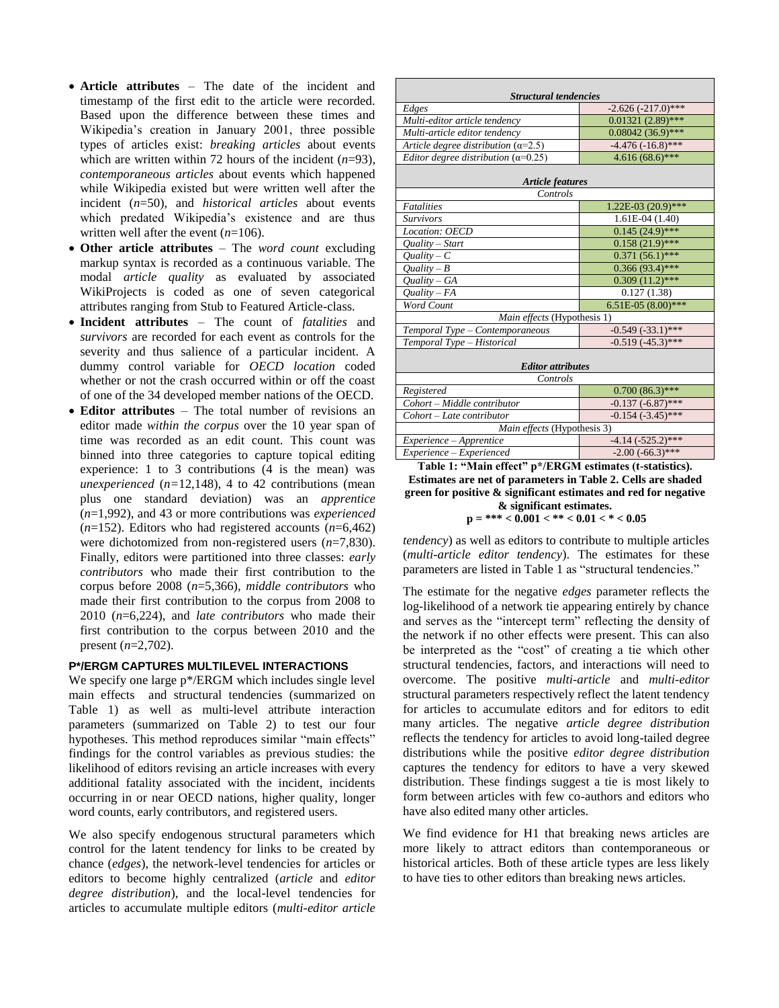- **Article attributes**  The date of the incident and timestamp of the first edit to the article were recorded. Based upon the difference between these times and Wikipedia's creation in January 2001, three possible types of articles exist: *breaking articles* about events which are written within 72 hours of the incident (*n*=93), *contemporaneous articles* about events which happened while Wikipedia existed but were written well after the incident (*n*=50), and *historical articles* about events which predated Wikipedia's existence and are thus written well after the event (*n*=106).
- **Other article attributes**  The *word count* excluding markup syntax is recorded as a continuous variable. The modal *article quality* as evaluated by associated WikiProjects is coded as one of seven categorical attributes ranging from Stub to Featured Article-class.
- **Incident attributes**  The count of *fatalities* and *survivors* are recorded for each event as controls for the severity and thus salience of a particular incident. A dummy control variable for *OECD location* coded whether or not the crash occurred within or off the coast of one of the 34 developed member nations of the OECD.
- **Editor attributes**  The total number of revisions an editor made *within the corpus* over the 10 year span of time was recorded as an edit count. This count was binned into three categories to capture topical editing experience: 1 to 3 contributions (4 is the mean) was *unexperienced* (*n=*12,148), 4 to 42 contributions (mean plus one standard deviation) was an *apprentice* (*n*=1,992), and 43 or more contributions was *experienced* (*n*=152). Editors who had registered accounts (*n*=6,462) were dichotomized from non-registered users (*n*=7,830). Finally, editors were partitioned into three classes: *early contributors* who made their first contribution to the corpus before 2008 (*n*=5,366), *middle contributors* who made their first contribution to the corpus from 2008 to 2010 (*n*=6,224), and *late contributors* who made their first contribution to the corpus between 2010 and the present (*n*=2,702).

## **P\*/ERGM CAPTURES MULTILEVEL INTERACTIONS**

We specify one large  $p^*$ /ERGM which includes single level main effects and structural tendencies (summarized on Table 1) as well as multi-level attribute interaction parameters (summarized on Table 2) to test our four hypotheses. This method reproduces similar "main effects" findings for the control variables as previous studies: the likelihood of editors revising an article increases with every additional fatality associated with the incident, incidents occurring in or near OECD nations, higher quality, longer word counts, early contributors, and registered users.

We also specify endogenous structural parameters which control for the latent tendency for links to be created by chance (*edges*), the network-level tendencies for articles or editors to become highly centralized (*article* and *editor degree distribution*), and the local-level tendencies for articles to accumulate multiple editors (*multi-editor article* 

| <b>Structural tendencies</b>                          |                         |
|-------------------------------------------------------|-------------------------|
| Edges                                                 | $-2.626$ $(-217.0)$ *** |
| Multi-editor article tendency                         | $0.01321(2.89)$ ***     |
| Multi-article editor tendency                         | $0.08042(36.9)$ ***     |
| Article degree distribution $(\alpha=2.5)$            | $-4.476(-16.8)***$      |
| Editor degree distribution $\overline{(\alpha=0.25)}$ | $4.616(68.6)$ ***       |
| <b>Article features</b><br>Controls                   |                         |
| <b>Fatalities</b>                                     | $1.22E-03$ $(20.9)$ *** |
| <b>Survivors</b>                                      | $1.61E-04(1.40)$        |
| Location: OECD                                        | $0.145(24.9)$ ***       |
|                                                       | $0.158(21.9)$ ***       |
| $Quality - Start$                                     |                         |
| $Quality - C$                                         | $0.371(56.1)$ ***       |
| $Ouality - B$                                         | $0.366(93.4)$ ***       |
| $Quality - GA$                                        | $0.309(11.2)$ ***       |
| $Ouality - FA$                                        | 0.127(1.38)             |
| Word Count                                            | 6.51E-05 $(8.00)$ ***   |
| Main effects (Hypothesis 1)                           |                         |
| Temporal Type - Contemporaneous                       | $-0.549(-33.1)$ ***     |
| Temporal Type - Historical                            | $-0.519(-45.3)$ ***     |
| <b>Editor</b> attributes                              |                         |
| Controls                                              |                         |
| Registered                                            | $0.700(86.3)$ ***       |
| Cohort - Middle contributor                           | $-0.137 (-6.87)$ ***    |
| Cohort - Late contributor                             | $-0.154$ $(-3.45)$ ***  |
| Main effects (Hypothesis 3)                           |                         |
| Experience - Apprentice                               | $-4.14$ $(-525.2)$ ***  |
| Experience - Experienced                              | $-2.00(-66.3)$ ***      |

**Table 1: "Main effect" p\*/ERGM estimates (t-statistics). Estimates are net of parameters in Table 2. Cells are shaded green for positive & significant estimates and red for negative & significant estimates. p = \*\*\* < 0.001 < \*\* < 0.01 < \* < 0.05**

*tendency*) as well as editors to contribute to multiple articles (*multi-article editor tendency*). The estimates for these parameters are listed in Table 1 as "structural tendencies."

The estimate for the negative *edges* parameter reflects the log-likelihood of a network tie appearing entirely by chance and serves as the "intercept term" reflecting the density of the network if no other effects were present. This can also be interpreted as the "cost" of creating a tie which other structural tendencies, factors, and interactions will need to overcome. The positive *multi-article* and *multi-editor* structural parameters respectively reflect the latent tendency for articles to accumulate editors and for editors to edit many articles. The negative *article degree distribution* reflects the tendency for articles to avoid long-tailed degree distributions while the positive *editor degree distribution*  captures the tendency for editors to have a very skewed distribution. These findings suggest a tie is most likely to form between articles with few co-authors and editors who have also edited many other articles.

We find evidence for H1 that breaking news articles are more likely to attract editors than contemporaneous or historical articles. Both of these article types are less likely to have ties to other editors than breaking news articles.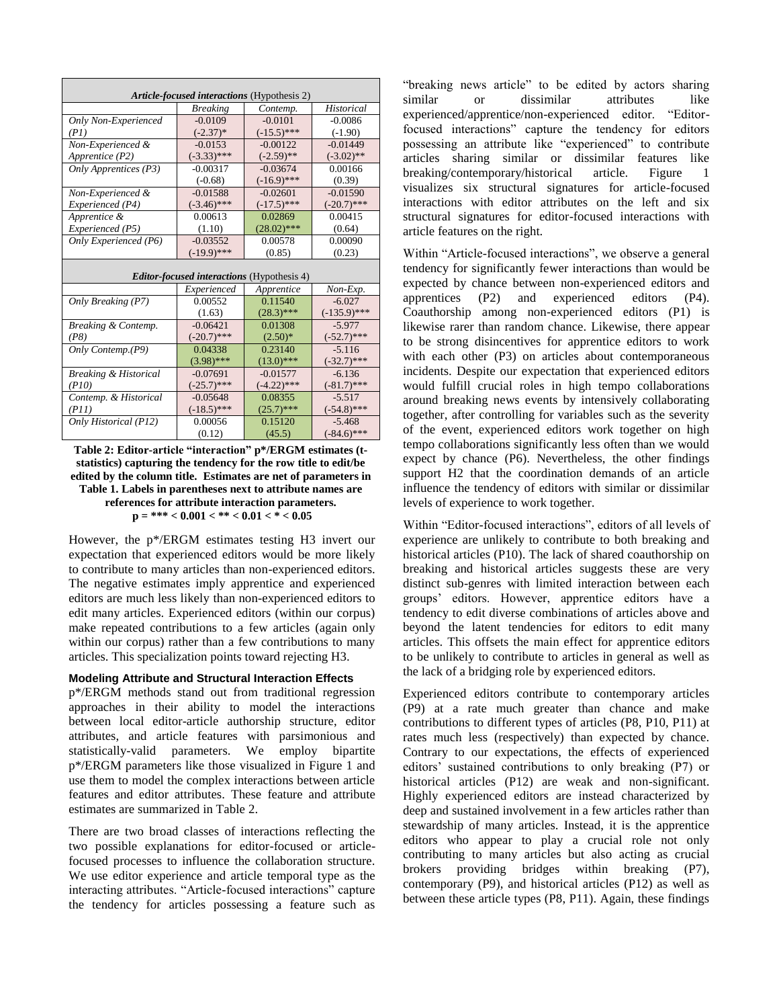| Article-focused interactions (Hypothesis 2)<br>Historical<br><b>Breaking</b> |               |                       |                |  |  |
|------------------------------------------------------------------------------|---------------|-----------------------|----------------|--|--|
|                                                                              | $-0.0109$     | Contemp.<br>$-0.0101$ | $-0.0086$      |  |  |
| Only Non-Experienced                                                         |               |                       |                |  |  |
| (PI)                                                                         | $(-2.37)*$    | $(-15.5)$ ***         | $(-1.90)$      |  |  |
| Non-Experienced &                                                            | $-0.0153$     | $-0.00122$            | $-0.01449$     |  |  |
| Apprentice (P2)                                                              | $(-3.33)$ *** | $(-2.59)$ **          | $(-3.02)$ **   |  |  |
| Only Apprentices (P3)                                                        | $-0.00317$    | $-0.03674$            | 0.00166        |  |  |
|                                                                              | $(-0.68)$     | $(-16.9)$ ***         | (0.39)         |  |  |
| Non-Experienced &                                                            | $-0.01588$    | $-0.02601$            | $-0.01590$     |  |  |
| Experienced (P4)                                                             | $(-3.46)$ *** | $(-17.5)$ ***         | $(-20.7)$ ***  |  |  |
| Apprentice &                                                                 | 0.00613       | 0.02869               | 0.00415        |  |  |
| Experienced (P5)                                                             | (1.10)        | $(28.02)$ ***         | (0.64)         |  |  |
| Only Experienced (P6)                                                        | $-0.03552$    | 0.00578               | 0.00090        |  |  |
|                                                                              | $(-19.9)$ *** | (0.85)                | (0.23)         |  |  |
| Editor-focused interactions (Hypothesis 4)                                   |               |                       |                |  |  |
|                                                                              | Experienced   | Apprentice            | Non-Exp.       |  |  |
| Only Breaking (P7)                                                           | 0.00552       | 0.11540               | $-6.027$       |  |  |
|                                                                              | (1.63)        | $(28.3)$ ***          | $(-135.9)$ *** |  |  |
| Breaking & Contemp.                                                          | $-0.06421$    | 0.01308               | $-5.977$       |  |  |
| (P8)                                                                         | $(-20.7)$ *** | $(2.50)*$             | $(-52.7)$ ***  |  |  |
| Only Contemp.(P9)                                                            | 0.04338       | 0.23140               | $-5.116$       |  |  |
|                                                                              | $(3.98)$ ***  | $(13.0)$ ***          | $(-32.7)$ ***  |  |  |
| <b>Breaking &amp; Historical</b>                                             | $-0.07691$    | $-0.01577$            | $-6.136$       |  |  |
| (PIO)                                                                        | $(-25.7)$ *** | $(-4.22)$ ***         | $(-81.7)$ ***  |  |  |
| Contemp. & Historical                                                        | $-0.05648$    | 0.08355               | $-5.517$       |  |  |
|                                                                              |               |                       |                |  |  |
| (PII)                                                                        | $(-18.5)$ *** | $(25.7)$ ***          | $(-54.8)$ ***  |  |  |
| Only Historical (P12)                                                        | 0.00056       | 0.15120               | $-5.468$       |  |  |

**Table 2: Editor-article "interaction" p\*/ERGM estimates (tstatistics) capturing the tendency for the row title to edit/be edited by the column title. Estimates are net of parameters in Table 1. Labels in parentheses next to attribute names are references for attribute interaction parameters. p = \*\*\* < 0.001 < \*\* < 0.01 < \* < 0.05**

However, the p\*/ERGM estimates testing H3 invert our expectation that experienced editors would be more likely to contribute to many articles than non-experienced editors. The negative estimates imply apprentice and experienced editors are much less likely than non-experienced editors to edit many articles. Experienced editors (within our corpus) make repeated contributions to a few articles (again only within our corpus) rather than a few contributions to many articles. This specialization points toward rejecting H3.

## **Modeling Attribute and Structural Interaction Effects**

p\*/ERGM methods stand out from traditional regression approaches in their ability to model the interactions between local editor-article authorship structure, editor attributes, and article features with parsimonious and statistically-valid parameters. We employ bipartite p\*/ERGM parameters like those visualized in Figure 1 and use them to model the complex interactions between article features and editor attributes. These feature and attribute estimates are summarized in Table 2.

There are two broad classes of interactions reflecting the two possible explanations for editor-focused or articlefocused processes to influence the collaboration structure. We use editor experience and article temporal type as the interacting attributes. "Article-focused interactions" capture the tendency for articles possessing a feature such as

"breaking news article" to be edited by actors sharing similar or dissimilar attributes like experienced/apprentice/non-experienced editor. "Editorfocused interactions" capture the tendency for editors possessing an attribute like "experienced" to contribute articles sharing similar or dissimilar features like breaking/contemporary/historical article. Figure 1 visualizes six structural signatures for article-focused interactions with editor attributes on the left and six structural signatures for editor-focused interactions with article features on the right.

Within "Article-focused interactions", we observe a general tendency for significantly fewer interactions than would be expected by chance between non-experienced editors and apprentices (P2) and experienced editors (P4). Coauthorship among non-experienced editors (P1) is likewise rarer than random chance. Likewise, there appear to be strong disincentives for apprentice editors to work with each other (P3) on articles about contemporaneous incidents. Despite our expectation that experienced editors would fulfill crucial roles in high tempo collaborations around breaking news events by intensively collaborating together, after controlling for variables such as the severity of the event, experienced editors work together on high tempo collaborations significantly less often than we would expect by chance (P6). Nevertheless, the other findings support H2 that the coordination demands of an article influence the tendency of editors with similar or dissimilar levels of experience to work together.

Within "Editor-focused interactions", editors of all levels of experience are unlikely to contribute to both breaking and historical articles (P10). The lack of shared coauthorship on breaking and historical articles suggests these are very distinct sub-genres with limited interaction between each groups' editors. However, apprentice editors have a tendency to edit diverse combinations of articles above and beyond the latent tendencies for editors to edit many articles. This offsets the main effect for apprentice editors to be unlikely to contribute to articles in general as well as the lack of a bridging role by experienced editors.

Experienced editors contribute to contemporary articles (P9) at a rate much greater than chance and make contributions to different types of articles (P8, P10, P11) at rates much less (respectively) than expected by chance. Contrary to our expectations, the effects of experienced editors' sustained contributions to only breaking (P7) or historical articles (P12) are weak and non-significant. Highly experienced editors are instead characterized by deep and sustained involvement in a few articles rather than stewardship of many articles. Instead, it is the apprentice editors who appear to play a crucial role not only contributing to many articles but also acting as crucial brokers providing bridges within breaking (P7), contemporary (P9), and historical articles (P12) as well as between these article types (P8, P11). Again, these findings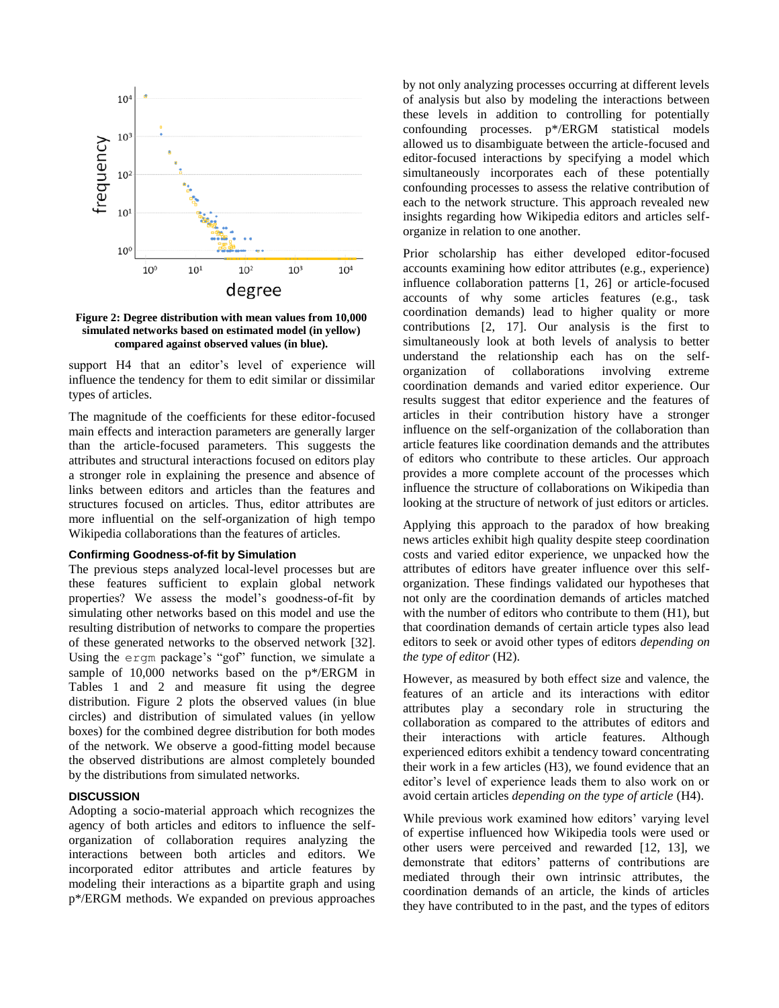

**Figure 2: Degree distribution with mean values from 10,000 simulated networks based on estimated model (in yellow) compared against observed values (in blue).**

support H4 that an editor's level of experience will influence the tendency for them to edit similar or dissimilar types of articles.

The magnitude of the coefficients for these editor-focused main effects and interaction parameters are generally larger than the article-focused parameters. This suggests the attributes and structural interactions focused on editors play a stronger role in explaining the presence and absence of links between editors and articles than the features and structures focused on articles. Thus, editor attributes are more influential on the self-organization of high tempo Wikipedia collaborations than the features of articles.

#### **Confirming Goodness-of-fit by Simulation**

The previous steps analyzed local-level processes but are these features sufficient to explain global network properties? We assess the model's goodness-of-fit by simulating other networks based on this model and use the resulting distribution of networks to compare the properties of these generated networks to the observed network [32]. Using the ergm package's "gof" function, we simulate a sample of 10,000 networks based on the p\*/ERGM in Tables 1 and 2 and measure fit using the degree distribution. Figure 2 plots the observed values (in blue circles) and distribution of simulated values (in yellow boxes) for the combined degree distribution for both modes of the network. We observe a good-fitting model because the observed distributions are almost completely bounded by the distributions from simulated networks.

## **DISCUSSION**

Adopting a socio-material approach which recognizes the agency of both articles and editors to influence the selforganization of collaboration requires analyzing the interactions between both articles and editors. We incorporated editor attributes and article features by modeling their interactions as a bipartite graph and using p\*/ERGM methods. We expanded on previous approaches by not only analyzing processes occurring at different levels of analysis but also by modeling the interactions between these levels in addition to controlling for potentially confounding processes. p\*/ERGM statistical models allowed us to disambiguate between the article-focused and editor-focused interactions by specifying a model which simultaneously incorporates each of these potentially confounding processes to assess the relative contribution of each to the network structure. This approach revealed new insights regarding how Wikipedia editors and articles selforganize in relation to one another.

Prior scholarship has either developed editor-focused accounts examining how editor attributes (e.g., experience) influence collaboration patterns [1, 26] or article-focused accounts of why some articles features (e.g., task coordination demands) lead to higher quality or more contributions [2, 17]. Our analysis is the first to simultaneously look at both levels of analysis to better understand the relationship each has on the selforganization of collaborations involving extreme coordination demands and varied editor experience. Our results suggest that editor experience and the features of articles in their contribution history have a stronger influence on the self-organization of the collaboration than article features like coordination demands and the attributes of editors who contribute to these articles. Our approach provides a more complete account of the processes which influence the structure of collaborations on Wikipedia than looking at the structure of network of just editors or articles.

Applying this approach to the paradox of how breaking news articles exhibit high quality despite steep coordination costs and varied editor experience, we unpacked how the attributes of editors have greater influence over this selforganization. These findings validated our hypotheses that not only are the coordination demands of articles matched with the number of editors who contribute to them (H1), but that coordination demands of certain article types also lead editors to seek or avoid other types of editors *depending on the type of editor* (H2).

However, as measured by both effect size and valence, the features of an article and its interactions with editor attributes play a secondary role in structuring the collaboration as compared to the attributes of editors and their interactions with article features. Although experienced editors exhibit a tendency toward concentrating their work in a few articles (H3), we found evidence that an editor's level of experience leads them to also work on or avoid certain articles *depending on the type of article* (H4).

While previous work examined how editors' varying level of expertise influenced how Wikipedia tools were used or other users were perceived and rewarded [12, 13], we demonstrate that editors' patterns of contributions are mediated through their own intrinsic attributes, the coordination demands of an article, the kinds of articles they have contributed to in the past, and the types of editors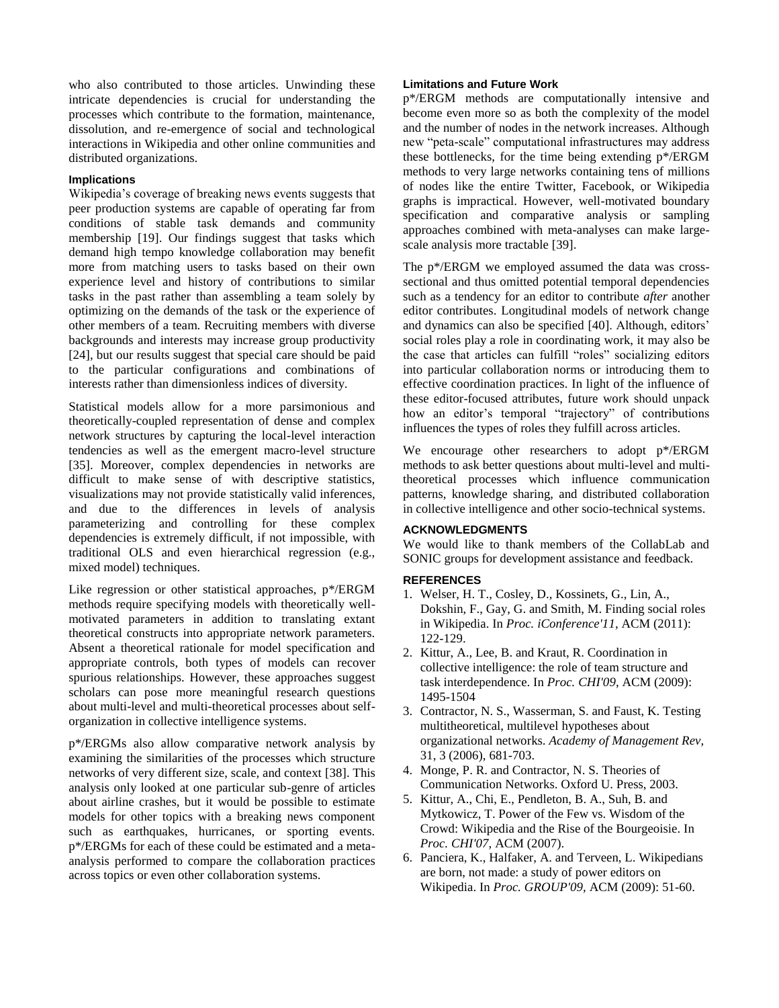who also contributed to those articles. Unwinding these intricate dependencies is crucial for understanding the processes which contribute to the formation, maintenance, dissolution, and re-emergence of social and technological interactions in Wikipedia and other online communities and distributed organizations.

#### **Implications**

Wikipedia's coverage of breaking news events suggests that peer production systems are capable of operating far from conditions of stable task demands and community membership [19]. Our findings suggest that tasks which demand high tempo knowledge collaboration may benefit more from matching users to tasks based on their own experience level and history of contributions to similar tasks in the past rather than assembling a team solely by optimizing on the demands of the task or the experience of other members of a team. Recruiting members with diverse backgrounds and interests may increase group productivity [24], but our results suggest that special care should be paid to the particular configurations and combinations of interests rather than dimensionless indices of diversity.

Statistical models allow for a more parsimonious and theoretically-coupled representation of dense and complex network structures by capturing the local-level interaction tendencies as well as the emergent macro-level structure [35]. Moreover, complex dependencies in networks are difficult to make sense of with descriptive statistics, visualizations may not provide statistically valid inferences, and due to the differences in levels of analysis parameterizing and controlling for these complex dependencies is extremely difficult, if not impossible, with traditional OLS and even hierarchical regression (e.g., mixed model) techniques.

Like regression or other statistical approaches, p\*/ERGM methods require specifying models with theoretically wellmotivated parameters in addition to translating extant theoretical constructs into appropriate network parameters. Absent a theoretical rationale for model specification and appropriate controls, both types of models can recover spurious relationships. However, these approaches suggest scholars can pose more meaningful research questions about multi-level and multi-theoretical processes about selforganization in collective intelligence systems.

p\*/ERGMs also allow comparative network analysis by examining the similarities of the processes which structure networks of very different size, scale, and context [38]. This analysis only looked at one particular sub-genre of articles about airline crashes, but it would be possible to estimate models for other topics with a breaking news component such as earthquakes, hurricanes, or sporting events. p\*/ERGMs for each of these could be estimated and a metaanalysis performed to compare the collaboration practices across topics or even other collaboration systems.

## **Limitations and Future Work**

p\*/ERGM methods are computationally intensive and become even more so as both the complexity of the model and the number of nodes in the network increases. Although new "peta-scale" computational infrastructures may address these bottlenecks, for the time being extending p\*/ERGM methods to very large networks containing tens of millions of nodes like the entire Twitter, Facebook, or Wikipedia graphs is impractical. However, well-motivated boundary specification and comparative analysis or sampling approaches combined with meta-analyses can make largescale analysis more tractable [39].

The p\*/ERGM we employed assumed the data was crosssectional and thus omitted potential temporal dependencies such as a tendency for an editor to contribute *after* another editor contributes. Longitudinal models of network change and dynamics can also be specified [40]. Although, editors' social roles play a role in coordinating work, it may also be the case that articles can fulfill "roles" socializing editors into particular collaboration norms or introducing them to effective coordination practices. In light of the influence of these editor-focused attributes, future work should unpack how an editor's temporal "trajectory" of contributions influences the types of roles they fulfill across articles.

We encourage other researchers to adopt p\*/ERGM methods to ask better questions about multi-level and multitheoretical processes which influence communication patterns, knowledge sharing, and distributed collaboration in collective intelligence and other socio-technical systems.

#### **ACKNOWLEDGMENTS**

We would like to thank members of the CollabLab and SONIC groups for development assistance and feedback.

# **REFERENCES**

- 1. Welser, H. T., Cosley, D., Kossinets, G., Lin, A., Dokshin, F., Gay, G. and Smith, M. Finding social roles in Wikipedia. In *Proc. iConference'11,* ACM (2011): 122-129.
- 2. Kittur, A., Lee, B. and Kraut, R. Coordination in collective intelligence: the role of team structure and task interdependence. In *Proc. CHI'09*, ACM (2009): 1495-1504
- 3. Contractor, N. S., Wasserman, S. and Faust, K. Testing multitheoretical, multilevel hypotheses about organizational networks. *Academy of Management Rev*, 31, 3 (2006), 681-703.
- 4. Monge, P. R. and Contractor, N. S. Theories of Communication Networks. Oxford U. Press, 2003.
- 5. Kittur, A., Chi, E., Pendleton, B. A., Suh, B. and Mytkowicz, T. Power of the Few vs. Wisdom of the Crowd: Wikipedia and the Rise of the Bourgeoisie. In *Proc. CHI'07,* ACM (2007).
- 6. Panciera, K., Halfaker, A. and Terveen, L. Wikipedians are born, not made: a study of power editors on Wikipedia. In *Proc. GROUP'09,* ACM (2009): 51-60.